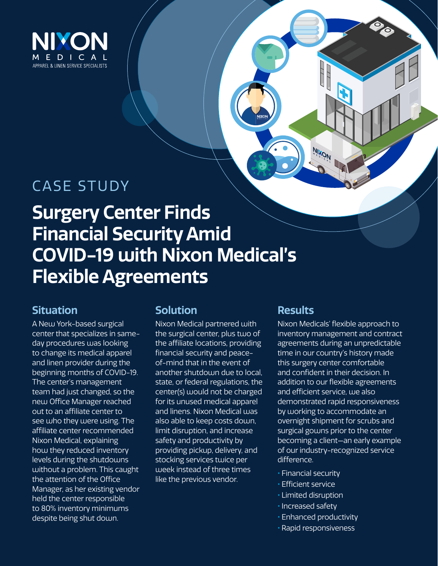

## CASE STUDY

## **Surgery Center Finds Financial Security Amid COVID-19 with Nixon Medical's Flexible Agreements**

## **Situation**

A New York-based surgical center that specializes in sameday procedures was looking to change its medical apparel and linen provider during the beginning months of COVID-19. The center's management team had just changed, so the new Office Manager reached out to an affiliate center to see who they were using. The affiliate center recommended Nixon Medical, explaining how they reduced inventory levels during the shutdowns without a problem. This caught the attention of the Office Manager, as her existing vendor held the center responsible to 80% inventory minimums despite being shut down.

### **Solution**

Nixon Medical partnered with the surgical center, plus two of the affiliate locations, providing financial security and peaceof-mind that in the event of another shutdown due to local, state, or federal regulations, the center(s) would not be charged for its unused medical apparel and linens. Nixon Medical was also able to keep costs down, limit disruption, and increase safety and productivity by providing pickup, delivery, and stocking services twice per week instead of three times like the previous vendor.

### **Results**

**Nixon** 

Nixon Medicals' flexible approach to inventory management and contract agreements during an unpredictable time in our country's history made this surgery center comfortable and confident in their decision. In addition to our flexible agreements and efficient service, we also demonstrated rapid responsiveness by working to accommodate an overnight shipment for scrubs and surgical gowns prior to the center becoming a client—an early example of our industry-recognized service difference.

- Financial security
- Efficient service
- Limited disruption
- Increased safety
- Enhanced productivity
- Rapid responsiveness